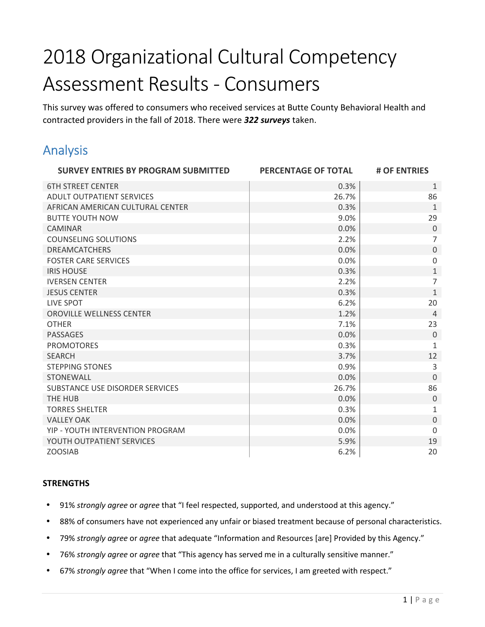# 2018 Organizational Cultural Competency Assessment Results - Consumers

This survey was offered to consumers who received services at Butte County Behavioral Health and contracted providers in the fall of 2018. There were *322 surveys* taken.

# Analysis

| <b>SURVEY ENTRIES BY PROGRAM SUBMITTED</b> | PERCENTAGE OF TOTAL | # OF ENTRIES   |
|--------------------------------------------|---------------------|----------------|
| <b>6TH STREET CENTER</b>                   | 0.3%                | $\mathbf{1}$   |
| <b>ADULT OUTPATIENT SERVICES</b>           | 26.7%               | 86             |
| AFRICAN AMERICAN CULTURAL CENTER           | 0.3%                | $1\,$          |
| <b>BUTTE YOUTH NOW</b>                     | 9.0%                | 29             |
| <b>CAMINAR</b>                             | 0.0%                | $\theta$       |
| <b>COUNSELING SOLUTIONS</b>                | 2.2%                | $\overline{7}$ |
| <b>DREAMCATCHERS</b>                       | 0.0%                | $\mathbf 0$    |
| <b>FOSTER CARE SERVICES</b>                | 0.0%                | $\mathbf 0$    |
| <b>IRIS HOUSE</b>                          | 0.3%                | $\mathbf{1}$   |
| <b>IVERSEN CENTER</b>                      | 2.2%                | $\overline{7}$ |
| <b>JESUS CENTER</b>                        | 0.3%                | $\mathbf{1}$   |
| LIVE SPOT                                  | 6.2%                | 20             |
| OROVILLE WELLNESS CENTER                   | 1.2%                | $\overline{4}$ |
| <b>OTHER</b>                               | 7.1%                | 23             |
| <b>PASSAGES</b>                            | 0.0%                | $\Omega$       |
| <b>PROMOTORES</b>                          | 0.3%                | $\mathbf{1}$   |
| <b>SEARCH</b>                              | 3.7%                | 12             |
| <b>STEPPING STONES</b>                     | 0.9%                | 3              |
| <b>STONEWALL</b>                           | 0.0%                | $\overline{0}$ |
| SUBSTANCE USE DISORDER SERVICES            | 26.7%               | 86             |
| THE HUB                                    | 0.0%                | $\overline{0}$ |
| <b>TORRES SHELTER</b>                      | 0.3%                | $\mathbf{1}$   |
| <b>VALLEY OAK</b>                          | 0.0%                | $\mathbf 0$    |
| YIP - YOUTH INTERVENTION PROGRAM           | 0.0%                | $\Omega$       |
| YOUTH OUTPATIENT SERVICES                  | 5.9%                | 19             |
| <b>ZOOSIAB</b>                             | 6.2%                | 20             |

#### **STRENGTHS**

- 91% *strongly agree* or *agree* that "I feel respected, supported, and understood at this agency."
- 88% of consumers have not experienced any unfair or biased treatment because of personal characteristics.
- 79% *strongly agree* or *agree* that adequate "Information and Resources [are] Provided by this Agency."
- 76% *strongly agree* or *agree* that "This agency has served me in a culturally sensitive manner."
- 67% *strongly agree* that "When I come into the office for services, I am greeted with respect."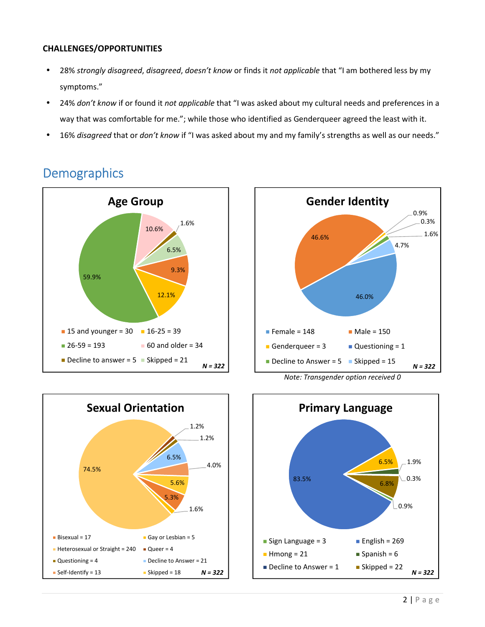#### **CHALLENGES/OPPORTUNITIES**

- 28% *strongly disagreed*, *disagreed*, *doesn't know* or finds it *not applicable* that "I am bothered less by my symptoms."
- 24% *don't know* if or found it *not applicable* that "I was asked about my cultural needs and preferences in a way that was comfortable for me."; while those who identified as Genderqueer agreed the least with it.
- 16% *disagreed* that or *don't know* if "I was asked about my and my family's strengths as well as our needs."









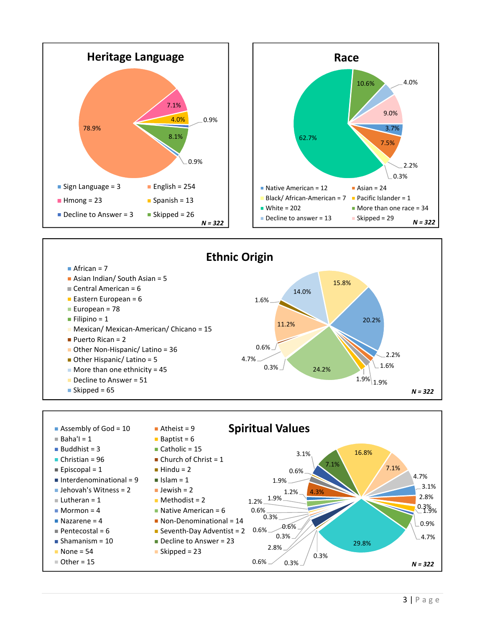





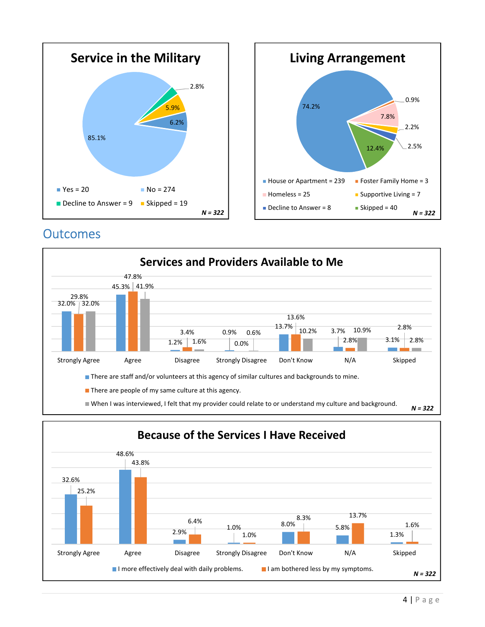

## **Outcomes**



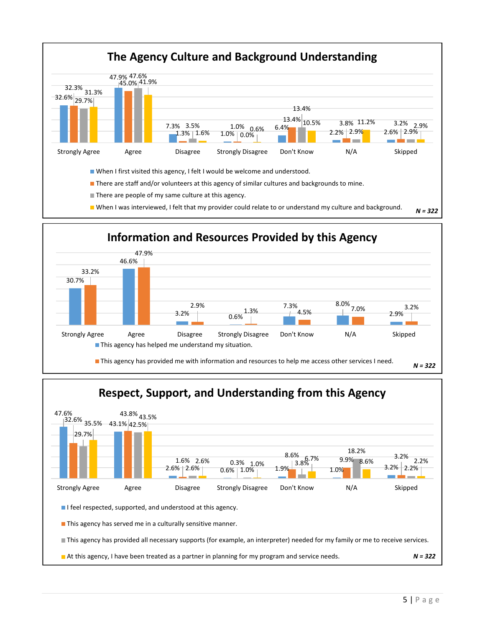





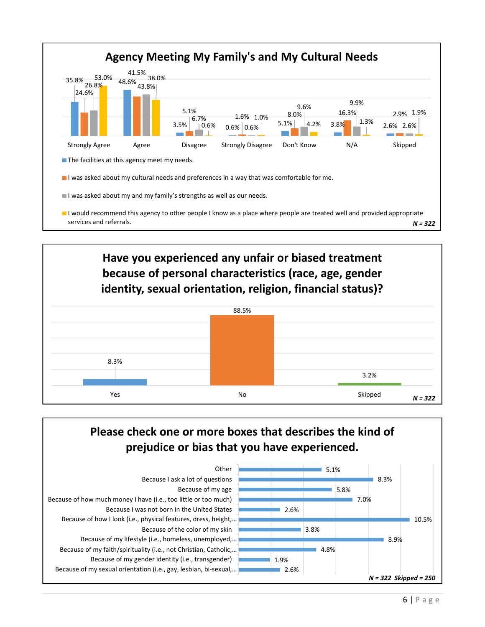



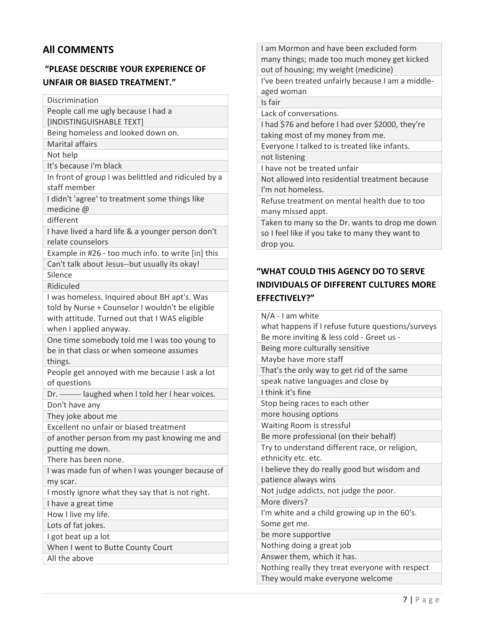## **All COMMENTS**

## **"PLEASE DESCRIBE YOUR EXPERIENCE OF UNFAIR OR BIASED TREATMENT."**

Discrimination

People call me ugly because I had a

[INDISTINGUISHABLE TEXT]

Being homeless and looked down on.

Marital affairs

Not help

It's because i'm black

In front of group I was belittled and ridiculed by a staff member

I didn't 'agree' to treatment some things like medicine @

different

I have lived a hard life & a younger person don't relate counselors

Example in #26 - too much info. to write [in] this Can't talk about Jesus--but usually its okay!

Silence

Ridiculed

I was homeless. Inquired about BH apt's. Was told by Nurse + Counselor I wouldn't be eligible with attitude. Turned out that I WAS eligible when I applied anyway.

One time somebody told me I was too young to be in that class or when someone assumes things.

People get annoyed with me because I ask a lot of questions

Dr. -------- laughed when I told her I hear voices. Don't have any

They joke about me

Excellent no unfair or biased treatment

of another person from my past knowing me and putting me down.

There has been none.

I was made fun of when I was younger because of my scar.

I mostly ignore what they say that is not right.

I have a great time

How I live my life.

Lots of fat jokes.

I got beat up a lot

When I went to Butte County Court

All the above

I am Mormon and have been excluded form many things; made too much money get kicked out of housing; my weight (medicine) I've been treated unfairly because I am a middleaged woman Is fair Lack of conversations. I had \$76 and before I had over \$2000, they're taking most of my money from me. Everyone I talked to is treated like infants. not listening I have not be treated unfair Not allowed into residential treatment because I'm not homeless. Refuse treatment on mental health due to too many missed appt. Taken to many so the Dr. wants to drop me down so I feel like if you take to many they want to drop you.

## **"WHAT COULD THIS AGENCY DO TO SERVE INDIVIDUALS OF DIFFERENT CULTURES MORE EFFECTIVELY?"**

N/A - I am white what happens if I refuse future questions/surveys Be more inviting & less cold - Greet us - Being more culturally sensitive Maybe have more staff That's the only way to get rid of the same speak native languages and close by I think it's fine Stop being races to each other more housing options Waiting Room is stressful Be more professional (on their behalf) Try to understand different race, or religion, ethnicity etc. etc. I believe they do really good but wisdom and patience always wins Not judge addicts, not judge the poor. More divers? I'm white and a child growing up in the 60's. Some get me. be more supportive Nothing doing a great job Answer them, which it has. Nothing really they treat everyone with respect They would make everyone welcome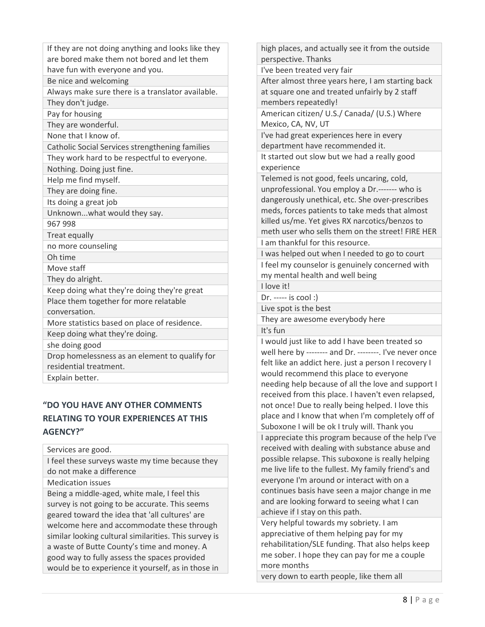| If they are not doing anything and looks like they |
|----------------------------------------------------|
| are bored make them not bored and let them         |
| have fun with everyone and you.                    |
| Be nice and welcoming                              |
| Always make sure there is a translator available.  |
| They don't judge.                                  |
| Pay for housing                                    |
| They are wonderful.                                |
| None that I know of.                               |
| Catholic Social Services strengthening families    |
| They work hard to be respectful to everyone.       |
| Nothing. Doing just fine.                          |
| Help me find myself.                               |
| They are doing fine.                               |
| Its doing a great job                              |
| Unknownwhat would they say.                        |
| 967 998                                            |
| <b>Treat equally</b>                               |
| no more counseling                                 |
| Oh time                                            |
| Move staff                                         |
| They do alright.                                   |
| Keep doing what they're doing they're great        |
| Place them together for more relatable             |
| conversation.                                      |
| More statistics based on place of residence.       |
| Keep doing what they're doing.                     |
| she doing good                                     |
| Drop homelessness as an element to qualify for     |
| residential treatment.                             |
| Explain better.                                    |

### **"DO YOU HAVE ANY OTHER COMMENTS RELATING TO YOUR EXPERIENCES AT THIS AGENCY?"**

Services are good.

I feel these surveys waste my time because they do not make a difference

Medication issues

Being a middle-aged, white male, I feel this survey is not going to be accurate. This seems geared toward the idea that 'all cultures' are welcome here and accommodate these through similar looking cultural similarities. This survey is a waste of Butte County's time and money. A good way to fully assess the spaces provided would be to experience it yourself, as in those in

high places, and actually see it from the outside perspective. Thanks I've been treated very fair After almost three years here, I am starting back at square one and treated unfairly by 2 staff members repeatedly! American citizen/ U.S./ Canada/ (U.S.) Where Mexico, CA, NV, UT I've had great experiences here in every department have recommended it. It started out slow but we had a really good experience Telemed is not good, feels uncaring, cold, unprofessional. You employ a Dr.------- who is dangerously unethical, etc. She over-prescribes meds, forces patients to take meds that almost killed us/me. Yet gives RX narcotics/benzos to meth user who sells them on the street! FIRE HER I am thankful for this resource. I was helped out when I needed to go to court I feel my counselor is genuinely concerned with my mental health and well being I love it! Dr. ----- is cool :) Live spot is the best They are awesome everybody here It's fun I would just like to add I have been treated so well here by -------- and Dr. --------. I've never once felt like an addict here. just a person I recovery I would recommend this place to everyone needing help because of all the love and support I received from this place. I haven't even relapsed, not once! Due to really being helped. I love this place and I know that when I'm completely off of Suboxone I will be ok I truly will. Thank you I appreciate this program because of the help I've received with dealing with substance abuse and possible relapse. This suboxone is really helping me live life to the fullest. My family friend's and everyone I'm around or interact with on a continues basis have seen a major change in me and are looking forward to seeing what I can achieve if I stay on this path. Very helpful towards my sobriety. I am

appreciative of them helping pay for my rehabilitation/SLE funding. That also helps keep me sober. I hope they can pay for me a couple more months

very down to earth people, like them all